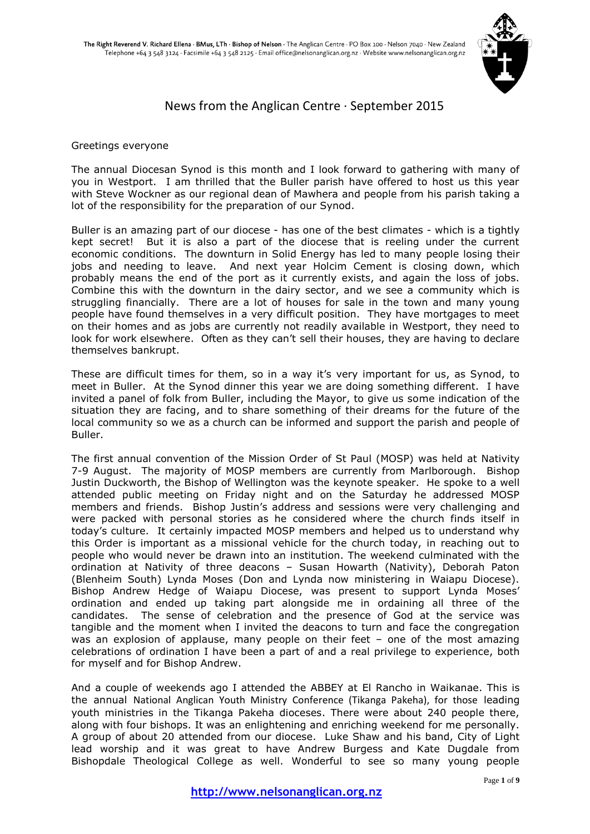

# News from the Anglican Centre · September 2015

#### Greetings everyone

The annual Diocesan Synod is this month and I look forward to gathering with many of you in Westport. I am thrilled that the Buller parish have offered to host us this year with Steve Wockner as our regional dean of Mawhera and people from his parish taking a lot of the responsibility for the preparation of our Synod.

Buller is an amazing part of our diocese - has one of the best climates - which is a tightly kept secret! But it is also a part of the diocese that is reeling under the current economic conditions. The downturn in Solid Energy has led to many people losing their jobs and needing to leave. And next year Holcim Cement is closing down, which probably means the end of the port as it currently exists, and again the loss of jobs. Combine this with the downturn in the dairy sector, and we see a community which is struggling financially. There are a lot of houses for sale in the town and many young people have found themselves in a very difficult position. They have mortgages to meet on their homes and as jobs are currently not readily available in Westport, they need to look for work elsewhere. Often as they can't sell their houses, they are having to declare themselves bankrupt.

These are difficult times for them, so in a way it's very important for us, as Synod, to meet in Buller. At the Synod dinner this year we are doing something different. I have invited a panel of folk from Buller, including the Mayor, to give us some indication of the situation they are facing, and to share something of their dreams for the future of the local community so we as a church can be informed and support the parish and people of Buller.

The first annual convention of the Mission Order of St Paul (MOSP) was held at Nativity 7-9 August. The majority of MOSP members are currently from Marlborough. Bishop Justin Duckworth, the Bishop of Wellington was the keynote speaker. He spoke to a well attended public meeting on Friday night and on the Saturday he addressed MOSP members and friends. Bishop Justin's address and sessions were very challenging and were packed with personal stories as he considered where the church finds itself in today's culture. It certainly impacted MOSP members and helped us to understand why this Order is important as a missional vehicle for the church today, in reaching out to people who would never be drawn into an institution. The weekend culminated with the ordination at Nativity of three deacons – Susan Howarth (Nativity), Deborah Paton (Blenheim South) Lynda Moses (Don and Lynda now ministering in Waiapu Diocese). Bishop Andrew Hedge of Waiapu Diocese, was present to support Lynda Moses' ordination and ended up taking part alongside me in ordaining all three of the candidates. The sense of celebration and the presence of God at the service was tangible and the moment when I invited the deacons to turn and face the congregation was an explosion of applause, many people on their feet – one of the most amazing celebrations of ordination I have been a part of and a real privilege to experience, both for myself and for Bishop Andrew.

And a couple of weekends ago I attended the ABBEY at El Rancho in Waikanae. This is the annual National Anglican Youth Ministry Conference (Tikanga Pakeha), for those leading youth ministries in the Tikanga Pakeha dioceses. There were about 240 people there, along with four bishops. It was an enlightening and enriching weekend for me personally. A group of about 20 attended from our diocese. Luke Shaw and his band, City of Light lead worship and it was great to have Andrew Burgess and Kate Dugdale from Bishopdale Theological College as well. Wonderful to see so many young people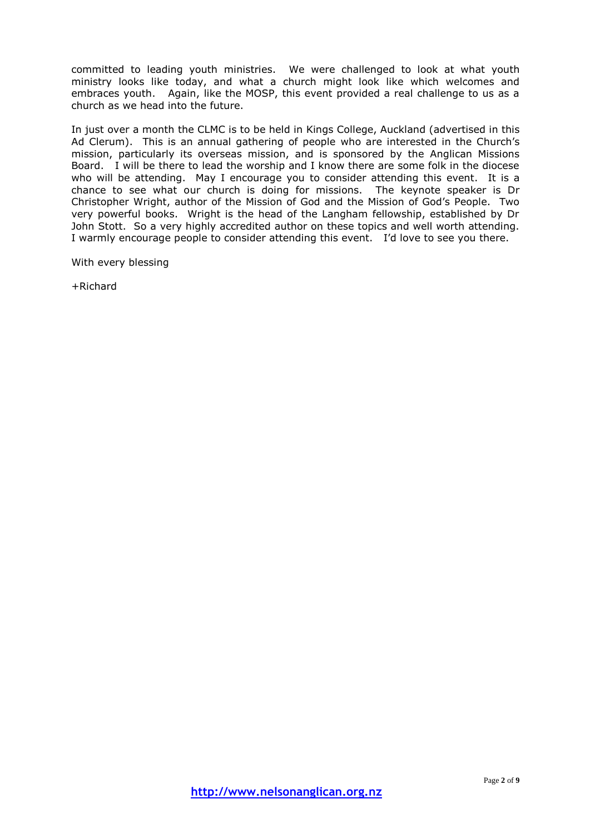committed to leading youth ministries. We were challenged to look at what youth ministry looks like today, and what a church might look like which welcomes and embraces youth. Again, like the MOSP, this event provided a real challenge to us as a church as we head into the future.

In just over a month the CLMC is to be held in Kings College, Auckland (advertised in this Ad Clerum). This is an annual gathering of people who are interested in the Church's mission, particularly its overseas mission, and is sponsored by the Anglican Missions Board. I will be there to lead the worship and I know there are some folk in the diocese who will be attending. May I encourage you to consider attending this event. It is a chance to see what our church is doing for missions. The keynote speaker is Dr Christopher Wright, author of the Mission of God and the Mission of God's People. Two very powerful books. Wright is the head of the Langham fellowship, established by Dr John Stott. So a very highly accredited author on these topics and well worth attending. I warmly encourage people to consider attending this event. I'd love to see you there.

With every blessing

+Richard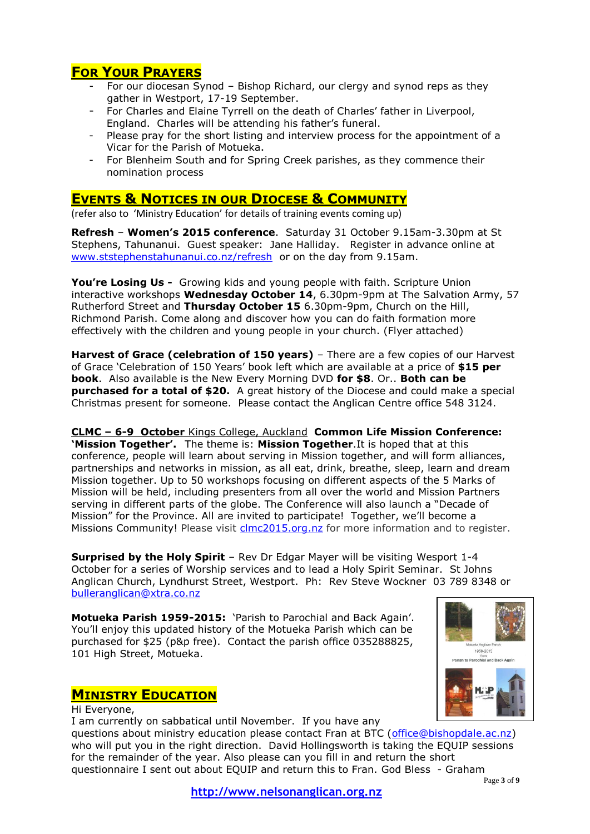# **FOR YOUR PRAYERS**

- For our diocesan Synod Bishop Richard, our clergy and synod reps as they gather in Westport, 17-19 September.
- For Charles and Elaine Tyrrell on the death of Charles' father in Liverpool, England. Charles will be attending his father's funeral.
- Please pray for the short listing and interview process for the appointment of a Vicar for the Parish of Motueka.
- For Blenheim South and for Spring Creek parishes, as they commence their nomination process

# **EVENTS & NOTICES IN OUR DIOCESE & COMMUNITY**

(refer also to 'Ministry Education' for details of training events coming up)

**Refresh** – **Women's 2015 conference**. Saturday 31 October 9.15am-3.30pm at St Stephens, Tahunanui. Guest speaker: Jane Halliday. Register in advance online at [www.ststephenstahunanui.co.nz/refresh](http://www.ststephenstahunanui.co.nz/refresh) or on the day from 9.15am.

**You're Losing Us -** Growing kids and young people with faith. Scripture Union interactive workshops **Wednesday October 14**, 6.30pm-9pm at The Salvation Army, 57 Rutherford Street and **Thursday October 15** 6.30pm-9pm, Church on the Hill, Richmond Parish. Come along and discover how you can do faith formation more effectively with the children and young people in your church. (Flyer attached)

**Harvest of Grace (celebration of 150 years)** – There are a few copies of our Harvest of Grace 'Celebration of 150 Years' book left which are available at a price of **\$15 per book**. Also available is the New Every Morning DVD **for \$8**. Or.. **Both can be purchased for a total of \$20.** A great history of the Diocese and could make a special Christmas present for someone. Please contact the Anglican Centre office 548 3124.

**CLMC – 6-9 October** Kings College, Auckland **Common Life Mission Conference: 'Mission Together'.** The theme is: **Mission Together**.It is hoped that at this conference, people will learn about serving in Mission together, and will form alliances, partnerships and networks in mission, as all eat, drink, breathe, sleep, learn and dream Mission together. Up to 50 workshops focusing on different aspects of the 5 Marks of Mission will be held, including presenters from all over the world and Mission Partners serving in different parts of the globe. The Conference will also launch a "Decade of Mission" for the Province. All are invited to participate! Together, we'll become a

Missions Community! Please visit [clmc2015.org.nz](http://clmc2015.org.nz/) for more information and to register.

**Surprised by the Holy Spirit** – Rev Dr Edgar Mayer will be visiting Wesport 1-4 October for a series of Worship services and to lead a Holy Spirit Seminar. St Johns Anglican Church, Lyndhurst Street, Westport. Ph: Rev Steve Wockner 03 789 8348 or [bulleranglican@xtra.co.nz](mailto:bulleranglican@xtra.co.nz)

**Motueka Parish 1959-2015:** 'Parish to Parochial and Back Again'. You'll enjoy this updated history of the Motueka Parish which can be purchased for \$25 (p&p free). Contact the parish office 035288825, 101 High Street, Motueka.

# **MINISTRY EDUCATION**

Hi Everyone, I am currently on sabbatical until November. If you have any questions about ministry education please contact Fran at BTC [\(office@bishopdale.ac.nz\)](mailto:office@bishopdale.ac.nz) who will put you in the right direction. David Hollingsworth is taking the EQUIP sessions for the remainder of the year. Also please can you fill in and return the short questionnaire I sent out about EQUIP and return this to Fran. God Bless - Graham

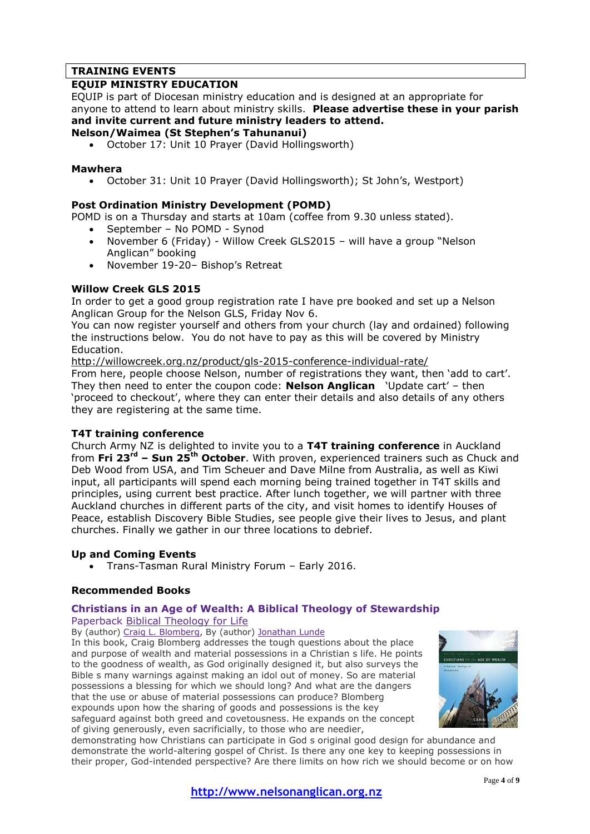# **TRAINING EVENTS**

## **EQUIP MINISTRY EDUCATION**

EQUIP is part of Diocesan ministry education and is designed at an appropriate for anyone to attend to learn about ministry skills. **Please advertise these in your parish and invite current and future ministry leaders to attend.**

## **Nelson/Waimea (St Stephen's Tahunanui)**

October 17: Unit 10 Prayer (David Hollingsworth)

### **Mawhera**

October 31: Unit 10 Prayer (David Hollingsworth); St John's, Westport)

## **Post Ordination Ministry Development (POMD)**

POMD is on a Thursday and starts at 10am (coffee from 9.30 unless stated).

- September No POMD Synod
- November 6 (Friday) Willow Creek GLS2015 will have a group "Nelson Anglican" booking
- November 19-20– Bishop's Retreat

## **Willow Creek GLS 2015**

In order to get a good group registration rate I have pre booked and set up a Nelson Anglican Group for the Nelson GLS, Friday Nov 6.

You can now register yourself and others from your church (lay and ordained) following the instructions below. You do not have to pay as this will be covered by Ministry Education.

<http://willowcreek.org.nz/product/gls-2015-conference-individual-rate/>

From here, people choose Nelson, number of registrations they want, then 'add to cart'. They then need to enter the coupon code: **Nelson Anglican** 'Update cart' – then 'proceed to checkout', where they can enter their details and also details of any others they are registering at the same time.

### **T4T training conference**

Church Army NZ is delighted to invite you to a **T4T training conference** in Auckland from **Fri 23rd – Sun 25th October**. With proven, experienced trainers such as Chuck and Deb Wood from USA, and Tim Scheuer and Dave Milne from Australia, as well as Kiwi input, all participants will spend each morning being trained together in T4T skills and principles, using current best practice. After lunch together, we will partner with three Auckland churches in different parts of the city, and visit homes to identify Houses of Peace, establish Discovery Bible Studies, see people give their lives to Jesus, and plant churches. Finally we gather in our three locations to debrief.

## **Up and Coming Events**

Trans-Tasman Rural Ministry Forum – Early 2016.

### **Recommended Books**

## **Christians in an Age of Wealth: A Biblical Theology of Stewardship**

Paperback Biblical [Theology](http://www.bookdepository.com/search/advanced?searchTerm=&searchSeries=33627) for Life

By (author) Craig L. [Blomberg,](http://www.bookdepository.com/author/Craig-L-Blomberg) By (author) [Jonathan](http://www.bookdepository.com/author/Jonathan-Lunde) Lunde

In this book, Craig Blomberg addresses the tough questions about the place and purpose of wealth and material possessions in a Christian s life. He points to the goodness of wealth, as God originally designed it, but also surveys the Bible s many warnings against making an idol out of money. So are material possessions a blessing for which we should long? And what are the dangers that the use or abuse of material possessions can produce? Blomberg expounds upon how the sharing of goods and possessions is the key safeguard against both greed and covetousness. He expands on the concept of giving generously, even sacrificially, to those who are needier,



demonstrating how Christians can participate in God s original good design for abundance and demonstrate the world-altering gospel of Christ. Is there any one key to keeping possessions in their proper, God-intended perspective? Are there limits on how rich we should become or on how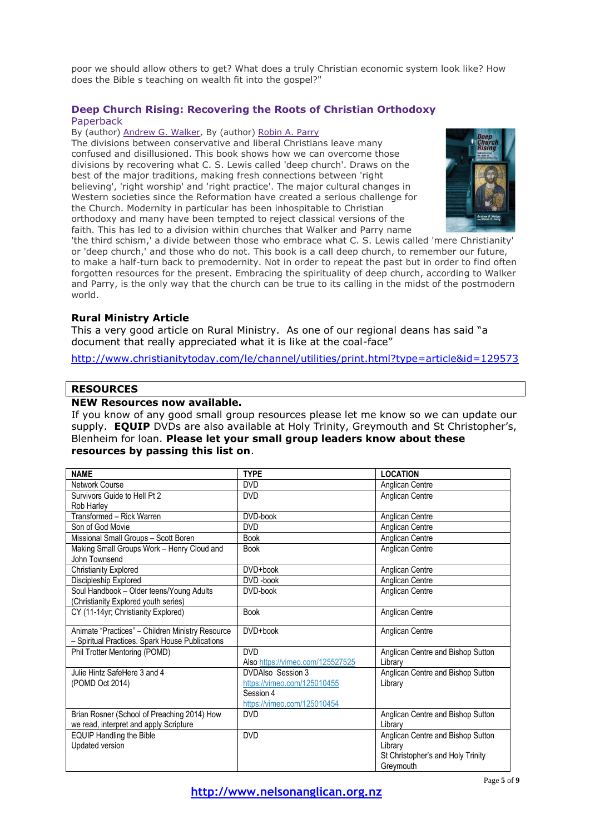poor we should allow others to get? What does a truly Christian economic system look like? How does the Bible s teaching on wealth fit into the gospel?"

## **Deep Church Rising: Recovering the Roots of Christian Orthodoxy** Paperback

By (author) [Andrew](http://www.bookdepository.com/author/Andrew-G-Walker) G. Walker, By (author) [Robin](http://www.bookdepository.com/author/Robin-Parry) A. Parry

The divisions between conservative and liberal Christians leave many confused and disillusioned. This book shows how we can overcome those divisions by recovering what C. S. Lewis called 'deep church'. Draws on the best of the major traditions, making fresh connections between 'right believing', 'right worship' and 'right practice'. The major cultural changes in Western societies since the Reformation have created a serious challenge for the Church. Modernity in particular has been inhospitable to Christian orthodoxy and many have been tempted to reject classical versions of the faith. This has led to a division within churches that Walker and Parry name



'the third schism,' a divide between those who embrace what C. S. Lewis called 'mere Christianity' or 'deep church,' and those who do not. This book is a call deep church, to remember our future, to make a half-turn back to premodernity. Not in order to repeat the past but in order to find often forgotten resources for the present. Embracing the spirituality of deep church, according to Walker and Parry, is the only way that the church can be true to its calling in the midst of the postmodern world.

## **Rural Ministry Article**

This a very good article on Rural Ministry. As one of our regional deans has said "a document that really appreciated what it is like at the coal-face"

<http://www.christianitytoday.com/le/channel/utilities/print.html?type=article&id=129573>

## **RESOURCES**

### **NEW Resources now available.**

If you know of any good small group resources please let me know so we can update our supply. **EQUIP** DVDs are also available at Holy Trinity, Greymouth and St Christopher's, Blenheim for loan. **Please let your small group leaders know about these resources by passing this list on**.

| <b>NAME</b>                                      | <b>TYPE</b>                      | <b>LOCATION</b>                   |
|--------------------------------------------------|----------------------------------|-----------------------------------|
| Network Course                                   | <b>DVD</b>                       | Anglican Centre                   |
| Survivors Guide to Hell Pt 2                     | <b>DVD</b>                       | Anglican Centre                   |
| Rob Harley                                       |                                  |                                   |
| Transformed - Rick Warren                        | DVD-book                         | Anglican Centre                   |
| Son of God Movie                                 | <b>DVD</b>                       | Anglican Centre                   |
| Missional Small Groups - Scott Boren             | <b>Book</b>                      | Anglican Centre                   |
| Making Small Groups Work - Henry Cloud and       | <b>Book</b>                      | Anglican Centre                   |
| John Townsend                                    |                                  |                                   |
| <b>Christianity Explored</b>                     | DVD+book                         | Anglican Centre                   |
| Discipleship Explored                            | DVD-book                         | Anglican Centre                   |
| Soul Handbook - Older teens/Young Adults         | DVD-book                         | Anglican Centre                   |
| (Christianity Explored youth series)             |                                  |                                   |
| CY (11-14yr; Christianity Explored)              | <b>Book</b>                      | Anglican Centre                   |
| Animate "Practices" - Children Ministry Resource | DVD+book                         | Anglican Centre                   |
| - Spiritual Practices. Spark House Publications  |                                  |                                   |
| Phil Trotter Mentoring (POMD)                    | <b>DVD</b>                       | Anglican Centre and Bishop Sutton |
|                                                  | Also https://vimeo.com/125527525 | Library                           |
| Julie Hintz SafeHere 3 and 4                     | DVDAIso Session 3                | Anglican Centre and Bishop Sutton |
| (POMD Oct 2014)                                  | https://vimeo.com/125010455      | Library                           |
|                                                  | Session 4                        |                                   |
|                                                  | https://vimeo.com/125010454      |                                   |
| Brian Rosner (School of Preaching 2014) How      | <b>DVD</b>                       | Anglican Centre and Bishop Sutton |
| we read, interpret and apply Scripture           |                                  | Library                           |
| <b>EQUIP Handling the Bible</b>                  | <b>DVD</b>                       | Anglican Centre and Bishop Sutton |
| Updated version                                  |                                  | Library                           |
|                                                  |                                  | St Christopher's and Holy Trinity |
|                                                  |                                  | Greymouth                         |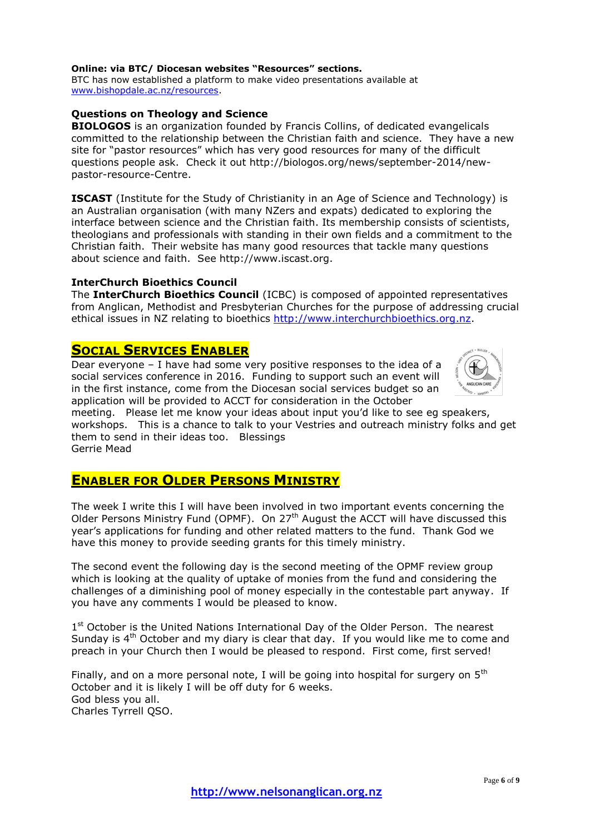#### **Online: via BTC/ Diocesan websites "Resources" sections.**

BTC has now established a platform to make video presentations available at [www.bishopdale.ac.nz/resources.](http://www.bishopdale.ac.nz/resources)

#### **Questions on Theology and Science**

**BIOLOGOS** is an organization founded by Francis Collins, of dedicated evangelicals committed to the relationship between the Christian faith and science. They have a new site for "pastor resources" which has very good resources for many of the difficult questions people ask. Check it out http://biologos.org/news/september-2014/newpastor-resource-Centre.

**ISCAST** (Institute for the Study of Christianity in an Age of Science and Technology) is an Australian organisation (with many NZers and expats) dedicated to exploring the interface between science and the Christian faith. Its membership consists of scientists, theologians and professionals with standing in their own fields and a commitment to the Christian faith. Their website has many good resources that tackle many questions about science and faith. See http://www.iscast.org.

#### **InterChurch Bioethics Council**

The **InterChurch Bioethics Council** (ICBC) is composed of appointed representatives from Anglican, Methodist and Presbyterian Churches for the purpose of addressing crucial ethical issues in NZ relating to bioethics [http://www.interchurchbioethics.org.nz.](http://www.interchurchbioethics.org.nz/)

# **SOCIAL SERVICES ENABLER**

Dear everyone – I have had some very positive responses to the idea of a social services conference in 2016. Funding to support such an event will in the first instance, come from the Diocesan social services budget so an application will be provided to ACCT for consideration in the October



meeting. Please let me know your ideas about input you'd like to see eg speakers, workshops. This is a chance to talk to your Vestries and outreach ministry folks and get them to send in their ideas too. Blessings Gerrie Mead

# **ENABLER FOR OLDER PERSONS MINISTRY**

The week I write this I will have been involved in two important events concerning the Older Persons Ministry Fund (OPMF). On 27<sup>th</sup> August the ACCT will have discussed this year's applications for funding and other related matters to the fund. Thank God we have this money to provide seeding grants for this timely ministry.

The second event the following day is the second meeting of the OPMF review group which is looking at the quality of uptake of monies from the fund and considering the challenges of a diminishing pool of money especially in the contestable part anyway. If you have any comments I would be pleased to know.

1<sup>st</sup> October is the United Nations International Day of the Older Person. The nearest Sunday is  $4<sup>th</sup>$  October and my diary is clear that day. If you would like me to come and preach in your Church then I would be pleased to respond. First come, first served!

Finally, and on a more personal note, I will be going into hospital for surgery on  $5<sup>th</sup>$ October and it is likely I will be off duty for 6 weeks. God bless you all. Charles Tyrrell QSO.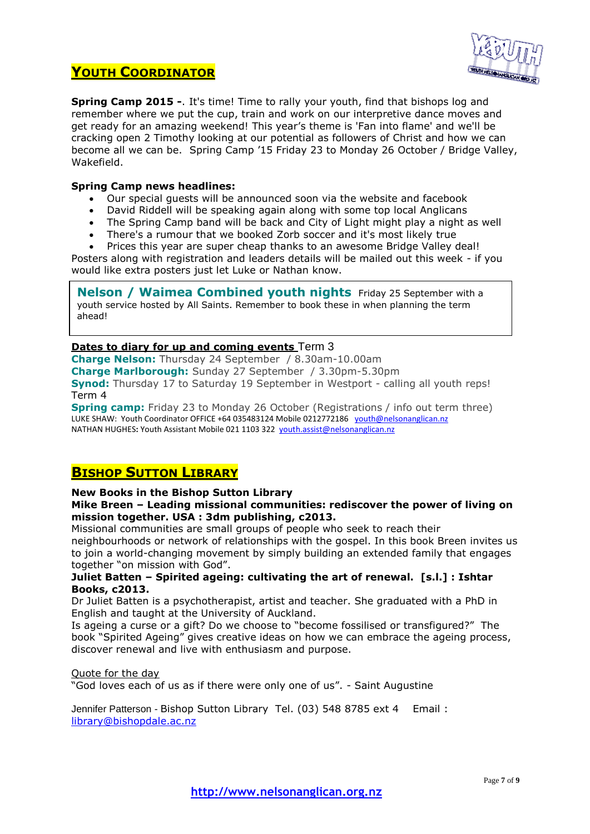# **YOUTH COORDINATOR**



**Spring Camp 2015 -**. It's time! Time to rally your youth, find that bishops log and remember where we put the cup, train and work on our interpretive dance moves and get ready for an amazing weekend! This year's theme is 'Fan into flame' and we'll be cracking open 2 Timothy looking at our potential as followers of Christ and how we can become all we can be. Spring Camp '15 Friday 23 to Monday 26 October / Bridge Valley, Wakefield.

## **Spring Camp news headlines:**

- Our special guests will be announced soon via the website and facebook
- David Riddell will be speaking again along with some top local Anglicans
- The Spring Camp band will be back and City of Light might play a night as well
- There's a rumour that we booked Zorb soccer and it's most likely true
- Prices this year are super cheap thanks to an awesome Bridge Valley deal!

Posters along with registration and leaders details will be mailed out this week - if you would like extra posters just let Luke or Nathan know.

**Nelson / Waimea Combined youth nights** Friday 25 September with a youth service hosted by All Saints. Remember to book these in when planning the term ahead!

## **Dates to diary for up and coming events** Term 3

**Charge Nelson:** Thursday 24 September / 8.30am-10.00am **Charge Marlborough:** Sunday 27 September / 3.30pm-5.30pm **Synod:** Thursday 17 to Saturday 19 September in Westport - calling all youth reps! Term 4

**Spring camp:** Friday 23 to Monday 26 October (Registrations / info out term three) LUKE SHAW: Youth Coordinator OFFICE +64 035483124 Mobile 0212772186 [youth@nelsonanglican.nz](mailto:youth@nelsonanglican.nz) NATHAN HUGHES**:** Youth Assistant Mobile 021 1103 322 [youth.assist@nelsonanglican.nz](mailto:youth.assist@nelsonanglican.nz)

# **BISHOP SUTTON LIBRARY**

### **New Books in the Bishop Sutton Library**

### **Mike Breen – Leading missional communities: rediscover the power of living on mission together. USA : 3dm publishing, c2013.**

Missional communities are small groups of people who seek to reach their neighbourhoods or network of relationships with the gospel. In this book Breen invites us to join a world-changing movement by simply building an extended family that engages together "on mission with God".

## **Juliet Batten – Spirited ageing: cultivating the art of renewal. [s.l.] : Ishtar Books, c2013.**

Dr Juliet Batten is a psychotherapist, artist and teacher. She graduated with a PhD in English and taught at the University of Auckland.

Is ageing a curse or a gift? Do we choose to "become fossilised or transfigured?" The book "Spirited Ageing" gives creative ideas on how we can embrace the ageing process, discover renewal and live with enthusiasm and purpose.

### Quote for the day

"God loves each of us as if there were only one of us". - Saint Augustine

Jennifer Patterson - Bishop Sutton Library Tel. (03) 548 8785 ext 4 Email : [library@bishopdale.ac.nz](mailto:library@bishopdale.ac.nz)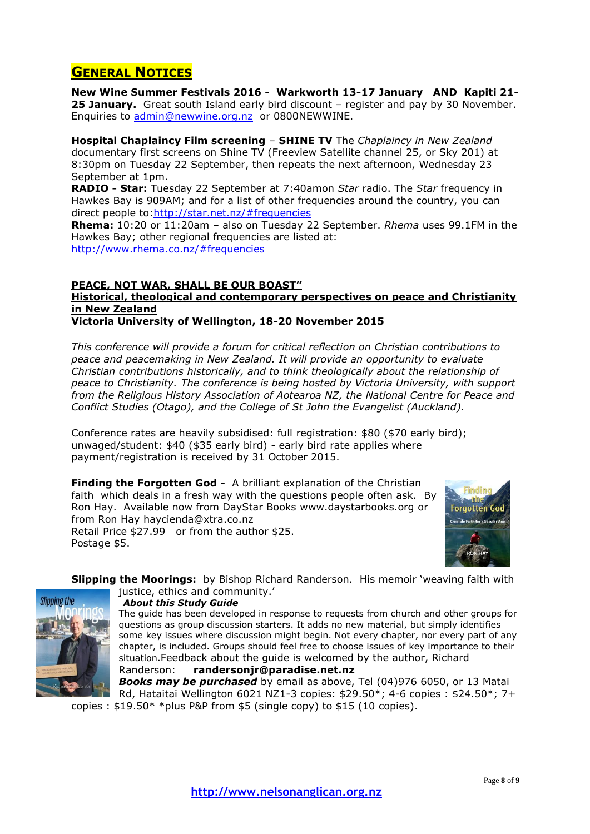# **GENERAL NOTICES**

**New Wine Summer Festivals 2016 - Warkworth 13-17 January AND Kapiti 21- 25 January.** Great south Island early bird discount – register and pay by 30 November. Enquiries to [admin@newwine.org.nz](mailto:admin@newwine.org.nz) or 0800NEWWINE.

**Hospital Chaplaincy Film screening** – **SHINE TV** The *Chaplaincy in New Zealand* documentary first screens on Shine TV (Freeview Satellite channel 25, or Sky 201) at 8:30pm on Tuesday 22 September, then repeats the next afternoon, Wednesday 23 September at 1pm.

**RADIO - Star:** Tuesday 22 September at 7:40amon *Star* radio. The *Star* frequency in Hawkes Bay is 909AM; and for a list of other frequencies around the country, you can direct people to[:http://star.net.nz/#frequencies](http://star.net.nz/#frequencies)

**Rhema:** 10:20 or 11:20am – also on Tuesday 22 September. *Rhema* uses 99.1FM in the Hawkes Bay; other regional frequencies are listed at: <http://www.rhema.co.nz/#frequencies>

## **PEACE, NOT WAR, SHALL BE OUR BOAST"**

# **Historical, theological and contemporary perspectives on peace and Christianity in New Zealand**

## **Victoria University of Wellington, 18-20 November 2015**

*This conference will provide a forum for critical reflection on Christian contributions to peace and peacemaking in New Zealand. It will provide an opportunity to evaluate Christian contributions historically, and to think theologically about the relationship of peace to Christianity. The conference is being hosted by Victoria University, with support from the Religious History Association of Aotearoa NZ, the National Centre for Peace and Conflict Studies (Otago), and the College of St John the Evangelist (Auckland).*

Conference rates are heavily subsidised: full registration: \$80 (\$70 early bird); unwaged/student: \$40 (\$35 early bird) - early bird rate applies where payment/registration is received by 31 October 2015.

**Finding the Forgotten God -** A brilliant explanation of the Christian faith which deals in a fresh way with the questions people often ask. By Ron Hay. Available now from DayStar Books [www.daystarbooks.org](http://www.daystarbooks.org/) or from Ron Hay [haycienda@xtra.co.nz](mailto:haycienda@xtra.co.nz) Retail Price \$27.99 or from the author \$25. Postage \$5.



**Slipping the Moorings:** by Bishop Richard Randerson. His memoir 'weaving faith with justice, ethics and community.'



 *About this Study Guide*

The guide has been developed in response to requests from church and other groups for questions as group discussion starters. It adds no new material, but simply identifies some key issues where discussion might begin. Not every chapter, nor every part of any chapter, is included. Groups should feel free to choose issues of key importance to their situation.Feedback about the guide is welcomed by the author, Richard Randerson: **randersonjr@paradise.net.nz** 

*Books may be purchased* by email as above, Tel (04)976 6050, or 13 Matai Rd, Hataitai Wellington 6021 NZ1-3 copies: \$29.50\*; 4-6 copies : \$24.50\*; 7+ copies :  $$19.50* *$ plus P&P from \$5 (single copy) to \$15 (10 copies).